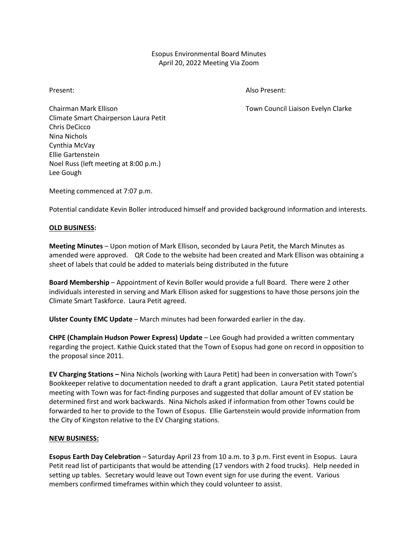# Esopus Environmental Board Minutes April 20, 2022 Meeting Via Zoom

Present: Also Present:

Chairman Mark Ellison **The Chairman Mark Ellison** Town Council Liaison Evelyn Clarke Climate Smart Chairperson Laura Petit Chris DeCicco Nina Nichols Cynthia McVay Ellie Gartenstein Noel Russ (left meeting at 8:00 p.m.) Lee Gough

Meeting commenced at 7:07 p.m.

Potential candidate Kevin Boller introduced himself and provided background information and interests.

## **OLD BUSINESS:**

**Meeting Minutes** – Upon motion of Mark Ellison, seconded by Laura Petit, the March Minutes as amended were approved. QR Code to the website had been created and Mark Ellison was obtaining a sheet of labels that could be added to materials being distributed in the future

**Board Membership** – Appointment of Kevin Boller would provide a full Board. There were 2 other individuals interested in serving and Mark Ellison asked for suggestions to have those persons join the Climate Smart Taskforce. Laura Petit agreed.

**Ulster County EMC Update** – March minutes had been forwarded earlier in the day.

**CHPE (Champlain Hudson Power Express) Update** – Lee Gough had provided a written commentary regarding the project. Kathie Quick stated that the Town of Esopus had gone on record in opposition to the proposal since 2011.

**EV Charging Stations –** Nina Nichols (working with Laura Petit) had been in conversation with Town's Bookkeeper relative to documentation needed to draft a grant application. Laura Petit stated potential meeting with Town was for fact-finding purposes and suggested that dollar amount of EV station be determined first and work backwards. Nina Nichols asked if information from other Towns could be forwarded to her to provide to the Town of Esopus. Ellie Gartenstein would provide information from the City of Kingston relative to the EV Charging stations.

## **NEW BUSINESS:**

**Esopus Earth Day Celebration** – Saturday April 23 from 10 a.m. to 3 p.m. First event in Esopus. Laura Petit read list of participants that would be attending (17 vendors with 2 food trucks). Help needed in setting up tables. Secretary would leave out Town event sign for use during the event. Various members confirmed timeframes within which they could volunteer to assist.